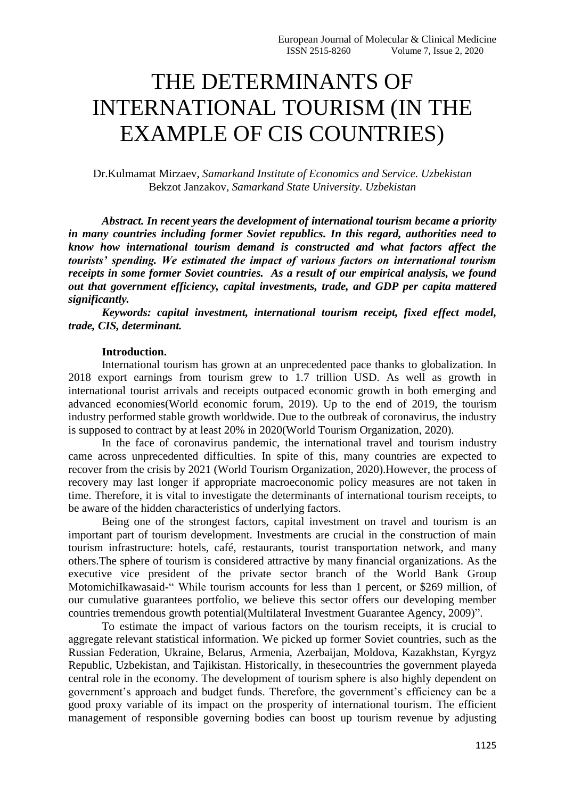# THE DETERMINANTS OF INTERNATIONAL TOURISM (IN THE EXAMPLE OF CIS COUNTRIES)

Dr.Kulmamat Mirzaev, *Samarkand Institute of Economics and Service. Uzbekistan* Bekzot Janzakov*, Samarkand State University. Uzbekistan*

*Abstract. In recent years the development of international tourism became a priority in many countries including former Soviet republics. In this regard, authorities need to know how international tourism demand is constructed and what factors affect the tourists' spending. We estimated the impact of various factors on international tourism receipts in some former Soviet countries. As a result of our empirical analysis, we found out that government efficiency, capital investments, trade, and GDP per capita mattered significantly.*

*Keywords: capital investment, international tourism receipt, fixed effect model, trade, CIS, determinant.*

#### **Introduction.**

International tourism has grown at an unprecedented pace thanks to globalization. In 2018 export earnings from tourism grew to 1.7 trillion USD. As well as growth in international tourist arrivals and receipts outpaced economic growth in both emerging and advanced economies(World economic forum, 2019). Up to the end of 2019, the tourism industry performed stable growth worldwide. Due to the outbreak of coronavirus, the industry is supposed to contract by at least 20% in 2020(World Tourism Organization, 2020).

In the face of coronavirus pandemic, the international travel and tourism industry came across unprecedented difficulties. In spite of this, many countries are expected to recover from the crisis by 2021 (World Tourism Organization, 2020).However, the process of recovery may last longer if appropriate macroeconomic policy measures are not taken in time. Therefore, it is vital to investigate the determinants of international tourism receipts, to be aware of the hidden characteristics of underlying factors.

Being one of the strongest factors, capital investment on travel and tourism is an important part of tourism development. Investments are crucial in the construction of main tourism infrastructure: hotels, café, restaurants, tourist transportation network, and many others.The sphere of tourism is considered attractive by many financial organizations. As the executive vice president of the private sector branch of the World Bank Group MotomichiIkawasaid-" While tourism accounts for less than 1 percent, or \$269 million, of our cumulative guarantees portfolio, we believe this sector offers our developing member countries tremendous growth potential(Multilateral Investment Guarantee Agency, 2009)".

To estimate the impact of various factors on the tourism receipts, it is crucial to aggregate relevant statistical information. We picked up former Soviet countries, such as the Russian Federation, Ukraine, Belarus, Armenia, Azerbaijan, Moldova, Kazakhstan, Kyrgyz Republic, Uzbekistan, and Tajikistan. Historically, in thesecountries the government playeda central role in the economy. The development of tourism sphere is also highly dependent on government's approach and budget funds. Therefore, the government's efficiency can be a good proxy variable of its impact on the prosperity of international tourism. The efficient management of responsible governing bodies can boost up tourism revenue by adjusting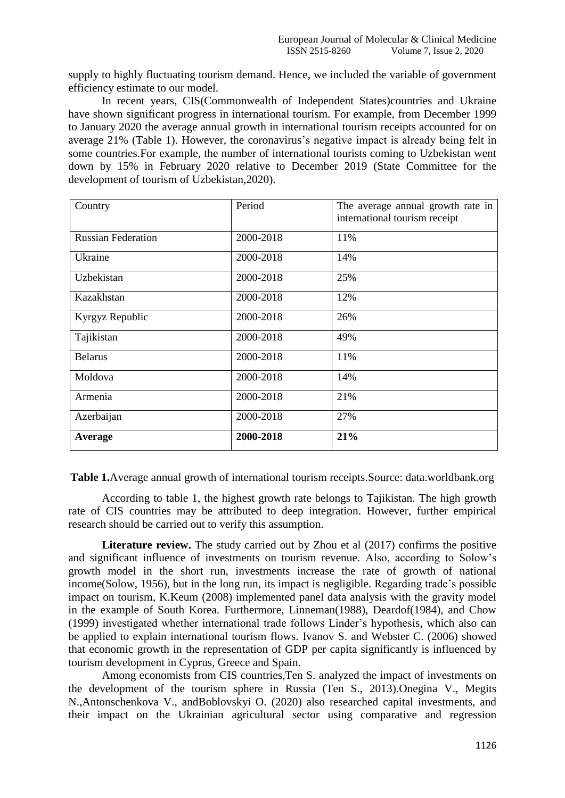supply to highly fluctuating tourism demand. Hence, we included the variable of government efficiency estimate to our model.

In recent years, CIS(Commonwealth of Independent States)countries and Ukraine have shown significant progress in international tourism. For example, from December 1999 to January 2020 the average annual growth in international tourism receipts accounted for on average 21% (Table 1). However, the coronavirus's negative impact is already being felt in some countries.For example, the number of international tourists coming to Uzbekistan went down by 15% in February 2020 relative to December 2019 (State Committee for the development of tourism of Uzbekistan,2020).

| Country                   | Period    | The average annual growth rate in<br>international tourism receipt |
|---------------------------|-----------|--------------------------------------------------------------------|
| <b>Russian Federation</b> | 2000-2018 | 11%                                                                |
| Ukraine                   | 2000-2018 | 14%                                                                |
| Uzbekistan                | 2000-2018 | 25%                                                                |
| Kazakhstan                | 2000-2018 | 12%                                                                |
| Kyrgyz Republic           | 2000-2018 | 26%                                                                |
| Tajikistan                | 2000-2018 | 49%                                                                |
| <b>Belarus</b>            | 2000-2018 | 11%                                                                |
| Moldova                   | 2000-2018 | 14%                                                                |
| Armenia                   | 2000-2018 | 21%                                                                |
| Azerbaijan                | 2000-2018 | 27%                                                                |
| Average                   | 2000-2018 | 21%                                                                |

**Table 1.**Average annual growth of international tourism receipts.Source: data.worldbank.org

According to table 1, the highest growth rate belongs to Tajikistan. The high growth rate of CIS countries may be attributed to deep integration. However, further empirical research should be carried out to verify this assumption.

**Literature review.** The study carried out by Zhou et al (2017) confirms the positive and significant influence of investments on tourism revenue. Also, according to Solow's growth model in the short run, investments increase the rate of growth of national income(Solow, 1956), but in the long run, its impact is negligible. Regarding trade's possible impact on tourism, K.Keum (2008) implemented panel data analysis with the gravity model in the example of South Korea. Furthermore, Linneman(1988), Deardof(1984), and Chow (1999) investigated whether international trade follows Linder's hypothesis, which also can be applied to explain international tourism flows. Ivanov S. and Webster C. (2006) showed that economic growth in the representation of GDP per capita significantly is influenced by tourism development in Cyprus, Greece and Spain.

Among economists from CIS countries,Ten S. analyzed the impact of investments on the development of the tourism sphere in Russia (Ten S., 2013).Onegina V., Megits N.,Antonschenkova V., andBoblovskyi O. (2020) also researched capital investments, and their impact on the Ukrainian agricultural sector using comparative and regression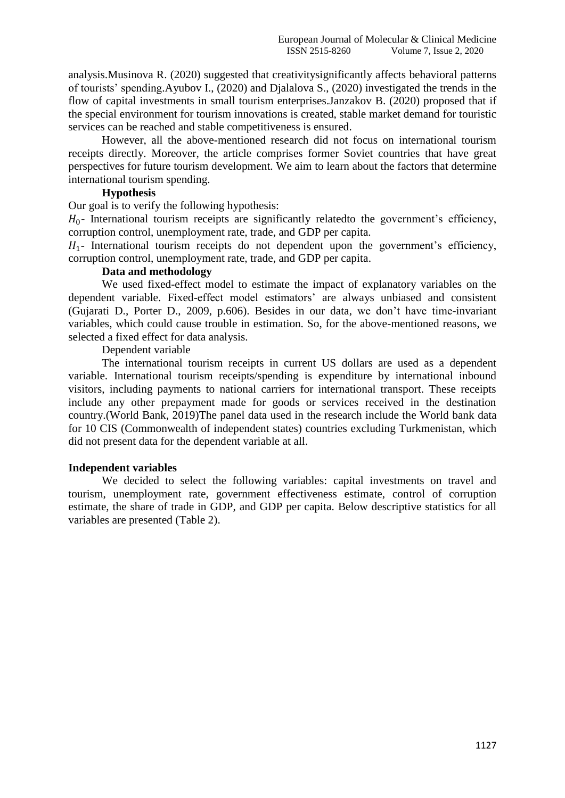analysis.Musinova R. (2020) suggested that creativitysignificantly affects behavioral patterns of tourists' spending.Ayubov I., (2020) and Djalalova S., (2020) investigated the trends in the flow of capital investments in small tourism enterprises.Janzakov B. (2020) proposed that if the special environment for tourism innovations is created, stable market demand for touristic services can be reached and stable competitiveness is ensured.

However, all the above-mentioned research did not focus on international tourism receipts directly. Moreover, the article comprises former Soviet countries that have great perspectives for future tourism development. We aim to learn about the factors that determine international tourism spending.

## **Hypothesis**

Our goal is to verify the following hypothesis:

 $H_0$ - International tourism receipts are significantly related to the government's efficiency, corruption control, unemployment rate, trade, and GDP per capita.

 $H_1$ - International tourism receipts do not dependent upon the government's efficiency, corruption control, unemployment rate, trade, and GDP per capita.

### **Data and methodology**

We used fixed-effect model to estimate the impact of explanatory variables on the dependent variable. Fixed-effect model estimators' are always unbiased and consistent (Gujarati D., Porter D., 2009, p.606). Besides in our data, we don't have time-invariant variables, which could cause trouble in estimation. So, for the above-mentioned reasons, we selected a fixed effect for data analysis.

Dependent variable

The international tourism receipts in current US dollars are used as a dependent variable. International tourism receipts/spending is expenditure by international inbound visitors, including payments to national carriers for international transport. These receipts include any other prepayment made for goods or services received in the destination country.(World Bank, 2019)The panel data used in the research include the World bank data for 10 CIS (Commonwealth of independent states) countries excluding Turkmenistan, which did not present data for the dependent variable at all.

## **Independent variables**

We decided to select the following variables: capital investments on travel and tourism, unemployment rate, government effectiveness estimate, control of corruption estimate, the share of trade in GDP, and GDP per capita. Below descriptive statistics for all variables are presented (Table 2).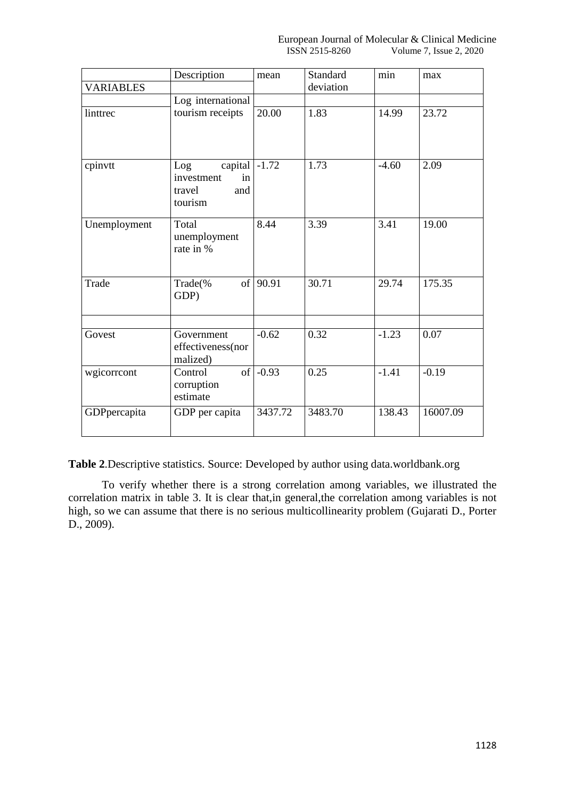|                  | Description                                                    | mean     | Standard  | min     | max      |
|------------------|----------------------------------------------------------------|----------|-----------|---------|----------|
| <b>VARIABLES</b> |                                                                |          | deviation |         |          |
|                  | Log international                                              |          |           |         |          |
| linttrec         | tourism receipts                                               | 20.00    | 1.83      | 14.99   | 23.72    |
| cpinvtt          | capital<br>Log<br>investment<br>in<br>and<br>travel<br>tourism | $-1.72$  | 1.73      | $-4.60$ | 2.09     |
| Unemployment     | Total<br>unemployment<br>rate in %                             | 8.44     | 3.39      | 3.41    | 19.00    |
| Trade            | Trade(%<br>GDP)                                                | of 90.91 | 30.71     | 29.74   | 175.35   |
| Govest           | Government<br>effectiveness(nor<br>malized)                    | $-0.62$  | 0.32      | $-1.23$ | 0.07     |
| wgicorrcont      | Control<br>corruption<br>estimate                              | of -0.93 | 0.25      | $-1.41$ | $-0.19$  |
| GDPpercapita     | GDP per capita                                                 | 3437.72  | 3483.70   | 138.43  | 16007.09 |

**Table 2**.Descriptive statistics. Source: Developed by author using data.worldbank.org

To verify whether there is a strong correlation among variables, we illustrated the correlation matrix in table 3. It is clear that,in general,the correlation among variables is not high, so we can assume that there is no serious multicollinearity problem (Gujarati D., Porter D., 2009).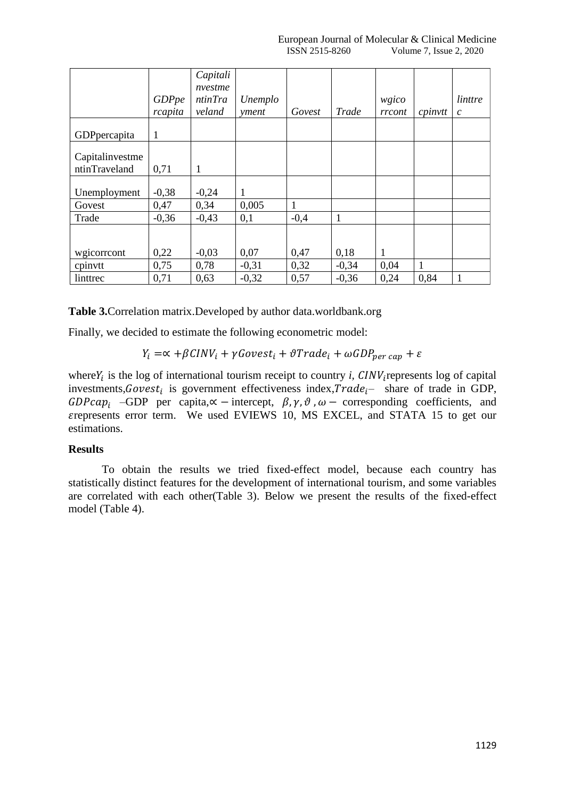|                 |              | Capitali |         |        |              |        |                   |               |
|-----------------|--------------|----------|---------|--------|--------------|--------|-------------------|---------------|
|                 |              | nvestme  |         |        |              |        |                   |               |
|                 | <b>GDPpe</b> | ntinTra  | Unemplo |        |              | wgico  |                   | linttre       |
|                 | rcapita      | veland   | yment   | Govest | Trade        | rrcont | $c$ <i>pinvtt</i> | $\mathcal{C}$ |
|                 |              |          |         |        |              |        |                   |               |
| GDPpercapita    | 1            |          |         |        |              |        |                   |               |
| Capitalinvestme |              |          |         |        |              |        |                   |               |
| ntinTraveland   | 0,71         | 1        |         |        |              |        |                   |               |
|                 |              |          |         |        |              |        |                   |               |
| Unemployment    | $-0,38$      | $-0,24$  | 1       |        |              |        |                   |               |
| Govest          | 0,47         | 0,34     | 0,005   | 1      |              |        |                   |               |
| Trade           | $-0,36$      | $-0,43$  | 0,1     | $-0,4$ | $\mathbf{1}$ |        |                   |               |
|                 |              |          |         |        |              |        |                   |               |
|                 |              |          |         |        |              |        |                   |               |
| wgicorrcont     | 0,22         | $-0,03$  | 0,07    | 0,47   | 0,18         | 1      |                   |               |
| cpinvtt         | 0,75         | 0,78     | $-0,31$ | 0,32   | $-0,34$      | 0,04   | 1                 |               |
| linttrec        | 0,71         | 0,63     | $-0,32$ | 0,57   | $-0,36$      | 0,24   | 0,84              |               |

**Table 3.**Correlation matrix.Developed by author data.worldbank.org

Finally, we decided to estimate the following econometric model:

 $Y_i = \propto +\beta C INV_i + \gamma Goves t_i + \vartheta Trade_i + \omega GDP_{per\,cap} + \varepsilon$ 

where $Y_i$  is the log of international tourism receipt to country *i*,  $CINV_i$  represents log of capital investments, Govest<sub>i</sub> is government effectiveness index, Trade<sub>l</sub>- share of trade in GDP, GDPca $p_i$  –GDP per capita, $\alpha$  – intercept,  $\beta$ ,  $\gamma$ ,  $\vartheta$ ,  $\omega$  – corresponding coefficients, and represents error term. We used EVIEWS 10, MS EXCEL, and STATA 15 to get our estimations.

### **Results**

To obtain the results we tried fixed-effect model, because each country has statistically distinct features for the development of international tourism, and some variables are correlated with each other(Table 3). Below we present the results of the fixed-effect model (Table 4).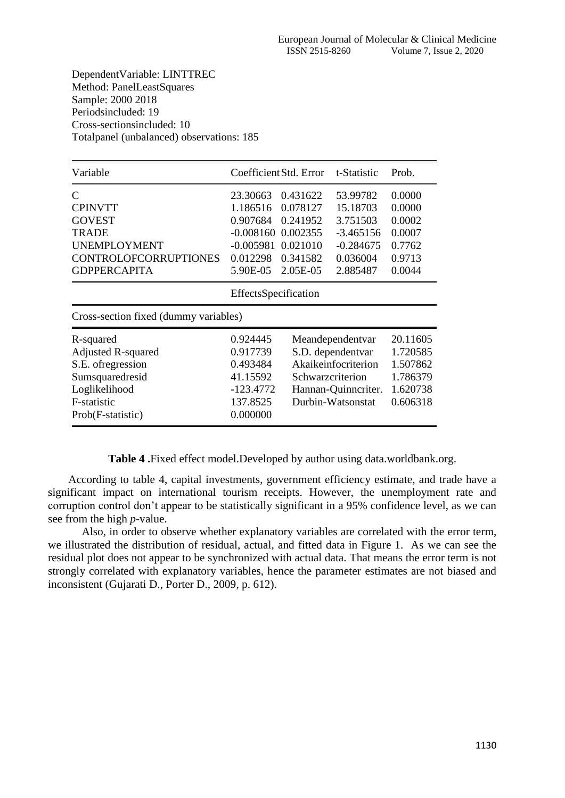DependentVariable: LINTTREC Method: PanelLeastSquares Sample: 2000 2018 Periodsincluded: 19 Cross-sectionsincluded: 10 Totalpanel (unbalanced) observations: 185

| Variable                                                                                                                                      |                                                                                        | Coefficient Std. Error t-Statistic                                               |                                                                                                          | Prob.                                                                |  |
|-----------------------------------------------------------------------------------------------------------------------------------------------|----------------------------------------------------------------------------------------|----------------------------------------------------------------------------------|----------------------------------------------------------------------------------------------------------|----------------------------------------------------------------------|--|
| $\mathsf{C}$<br><b>CPINVTT</b><br><b>GOVEST</b><br><b>TRADE</b><br><b>UNEMPLOYMENT</b><br><b>CONTROLOFCORRUPTIONES</b><br><b>GDPPERCAPITA</b> | 23.30663<br>1.186516<br>0.907684<br>$-0.008160$<br>$-0.005981$<br>0.012298<br>5.90E-05 | 0.431622<br>0.078127<br>0.241952<br>0.002355<br>0.021010<br>0.341582<br>2.05E-05 | 53.99782<br>15.18703<br>3.751503<br>$-3.465156$<br>$-0.284675$<br>0.036004<br>2.885487                   | 0.0000<br>0.0000<br>0.0002<br>0.0007<br>0.7762<br>0.9713<br>0.0044   |  |
|                                                                                                                                               | EffectsSpecification                                                                   |                                                                                  |                                                                                                          |                                                                      |  |
| Cross-section fixed (dummy variables)                                                                                                         |                                                                                        |                                                                                  |                                                                                                          |                                                                      |  |
| R-squared<br><b>Adjusted R-squared</b><br>S.E. of regression<br>Sumsquaredresid<br>Loglikelihood<br>F-statistic<br>Prob(F-statistic)          | 0.924445<br>0.917739<br>0.493484<br>41.15592<br>$-123.4772$<br>137.8525<br>0.000000    | Schwarzcriterion                                                                 | Meandependentvar<br>S.D. dependentvar<br>Akaikeinfocriterion<br>Hannan-Quinncriter.<br>Durbin-Watsonstat | 20.11605<br>1.720585<br>1.507862<br>1.786379<br>1.620738<br>0.606318 |  |

**Table 4 .**Fixed effect model.Developed by author using data.worldbank.org.

According to table 4, capital investments, government efficiency estimate, and trade have a significant impact on international tourism receipts. However, the unemployment rate and corruption control don't appear to be statistically significant in a 95% confidence level, as we can see from the high *p*-value.

Also, in order to observe whether explanatory variables are correlated with the error term, we illustrated the distribution of residual, actual, and fitted data in Figure 1. As we can see the residual plot does not appear to be synchronized with actual data. That means the error term is not strongly correlated with explanatory variables, hence the parameter estimates are not biased and inconsistent (Gujarati D., Porter D., 2009, p. 612).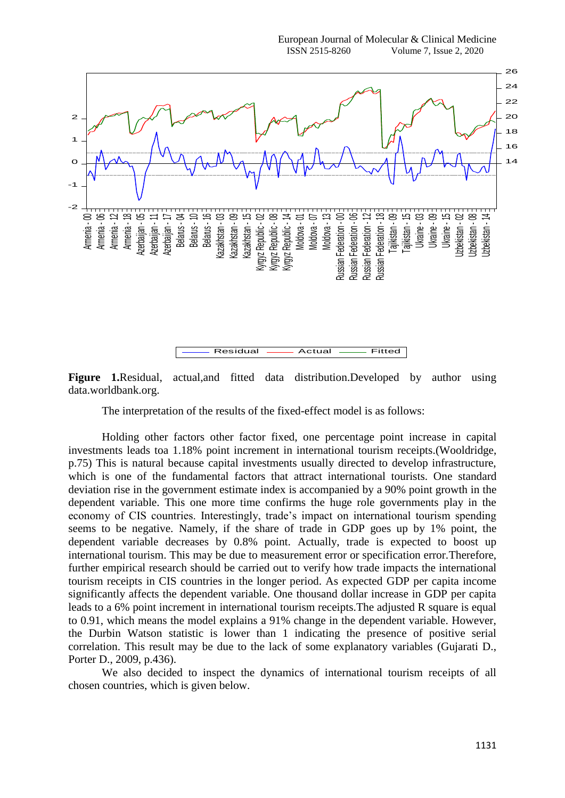

**Figure 1.**Residual, actual,and fitted data distribution.Developed by author using data.worldbank.org.

The interpretation of the results of the fixed-effect model is as follows:

Holding other factors other factor fixed, one percentage point increase in capital investments leads toa 1.18% point increment in international tourism receipts.(Wooldridge, p.75) This is natural because capital investments usually directed to develop infrastructure, which is one of the fundamental factors that attract international tourists. One standard deviation rise in the government estimate index is accompanied by a 90% point growth in the dependent variable. This one more time confirms the huge role governments play in the economy of CIS countries. Interestingly, trade's impact on international tourism spending seems to be negative. Namely, if the share of trade in GDP goes up by 1% point, the dependent variable decreases by 0.8% point. Actually, trade is expected to boost up international tourism. This may be due to measurement error or specification error.Therefore, further empirical research should be carried out to verify how trade impacts the international tourism receipts in CIS countries in the longer period. As expected GDP per capita income significantly affects the dependent variable. One thousand dollar increase in GDP per capita leads to a 6% point increment in international tourism receipts.The adjusted R square is equal to 0.91, which means the model explains a 91% change in the dependent variable. However, the Durbin Watson statistic is lower than 1 indicating the presence of positive serial correlation. This result may be due to the lack of some explanatory variables (Gujarati D., Porter D., 2009, p.436).

We also decided to inspect the dynamics of international tourism receipts of all chosen countries, which is given below.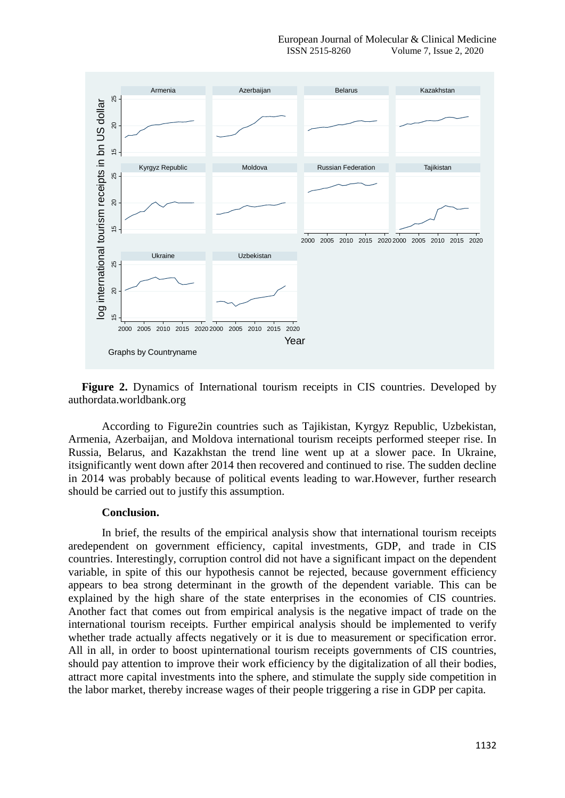

**Figure 2.** Dynamics of International tourism receipts in CIS countries. Developed by authordata.worldbank.org

According to Figure2in countries such as Tajikistan, Kyrgyz Republic, Uzbekistan, Armenia, Azerbaijan, and Moldova international tourism receipts performed steeper rise. In Russia, Belarus, and Kazakhstan the trend line went up at a slower pace. In Ukraine, itsignificantly went down after 2014 then recovered and continued to rise. The sudden decline in 2014 was probably because of political events leading to war.However, further research should be carried out to justify this assumption.

#### **Conclusion.**

In brief, the results of the empirical analysis show that international tourism receipts aredependent on government efficiency, capital investments, GDP, and trade in CIS countries. Interestingly, corruption control did not have a significant impact on the dependent variable, in spite of this our hypothesis cannot be rejected, because government efficiency appears to bea strong determinant in the growth of the dependent variable. This can be explained by the high share of the state enterprises in the economies of CIS countries. Another fact that comes out from empirical analysis is the negative impact of trade on the international tourism receipts. Further empirical analysis should be implemented to verify whether trade actually affects negatively or it is due to measurement or specification error. All in all, in order to boost upinternational tourism receipts governments of CIS countries, should pay attention to improve their work efficiency by the digitalization of all their bodies, attract more capital investments into the sphere, and stimulate the supply side competition in the labor market, thereby increase wages of their people triggering a rise in GDP per capita.